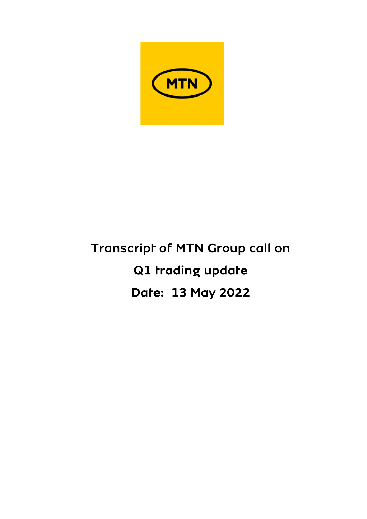

# Transcript of MTN Group call on Q1 trading update Date: 13 May 2022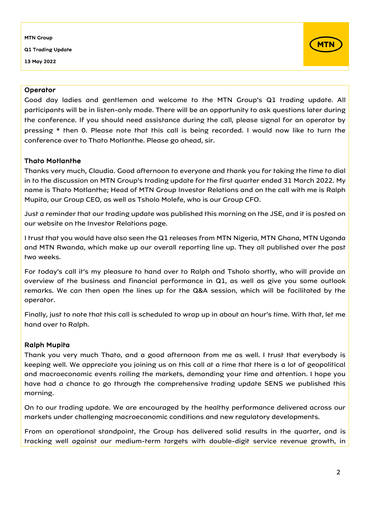Q1 Trading Update

13 May 2022



## **Operator**

Good day ladies and gentlemen and welcome to the MTN Group's Q1 trading update. All participants will be in listen-only mode. There will be an opportunity to ask questions later during the conference. If you should need assistance during the call, please signal for an operator by pressing \* then 0. Please note that this call is being recorded. I would now like to turn the conference over to Thato Motlanthe. Please go ahead, sir.

## Thato Motlanthe

Thanks very much, Claudia. Good afternoon to everyone and thank you for taking the time to dial in to the discussion on MTN Group's trading update for the first quarter ended 31 March 2022. My name is Thato Motlanthe; Head of MTN Group Investor Relations and on the call with me is Ralph Mupita, our Group CEO, as well as Tsholo Molefe, who is our Group CFO.

Just a reminder that our trading update was published this morning on the JSE, and it is posted on our website on the Investor Relations page.

I trust that you would have also seen the Q1 releases from MTN Nigeria, MTN Ghana, MTN Uganda and MTN Rwanda, which make up our overall reporting line up. They all published over the past two weeks.

For today's call it's my pleasure to hand over to Ralph and Tsholo shortly, who will provide an overview of the business and financial performance in Q1, as well as give you some outlook remarks. We can then open the lines up for the Q&A session, which will be facilitated by the operator.

Finally, just to note that this call is scheduled to wrap up in about an hour's time. With that, let me hand over to Ralph.

## Ralph Mupita

Thank you very much Thato, and a good afternoon from me as well. I trust that everybody is keeping well. We appreciate you joining us on this call at a time that there is a lot of geopolitical and macroeconomic events roiling the markets, demanding your time and attention. I hope you have had a chance to go through the comprehensive trading update SENS we published this morning.

On to our trading update. We are encouraged by the healthy performance delivered across our markets under challenging macroeconomic conditions and new regulatory developments.

From an operational standpoint, the Group has delivered solid results in the quarter, and is tracking well against our medium-term targets with double-digit service revenue growth, in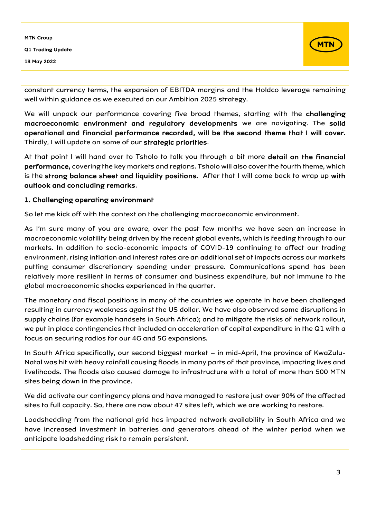

constant currency terms, the expansion of EBITDA margins and the Holdco leverage remaining well within guidance as we executed on our Ambition 2025 strategy.

We will unpack our performance covering five broad themes, starting with the challenging macroeconomic environment and regulatory developments we are navigating. The solid operational and financial performance recorded, will be the second theme that I will cover. Thirdly, I will update on some of our strategic priorities.

At that point I will hand over to Tsholo to talk you through a bit more detail on the financial performance, covering the key markets and regions. Tsholo will also cover the fourth theme, which is the strong balance sheet and liquidity positions. After that I will come back to wrap up with outlook and concluding remarks.

#### 1. Challenging operating environment

So let me kick off with the context on the challenging macroeconomic environment.

As I'm sure many of you are aware, over the past few months we have seen an increase in macroeconomic volatility being driven by the recent global events, which is feeding through to our markets. In addition to socio-economic impacts of COVID-19 continuing to affect our trading environment, rising inflation and interest rates are an additional set of impacts across our markets putting consumer discretionary spending under pressure. Communications spend has been relatively more resilient in terms of consumer and business expenditure, but not immune to the global macroeconomic shocks experienced in the quarter.

The monetary and fiscal positions in many of the countries we operate in have been challenged resulting in currency weakness against the US dollar. We have also observed some disruptions in supply chains (for example handsets in South Africa); and to mitigate the risks of network rollout, we put in place contingencies that included an acceleration of capital expenditure in the Q1 with a focus on securing radios for our 4G and 5G expansions.

In South Africa specifically, our second biggest market – in mid-April, the province of KwaZulu-Natal was hit with heavy rainfall causing floods in many parts of that province, impacting lives and livelihoods. The floods also caused damage to infrastructure with a total of more than 500 MTN sites being down in the province.

We did activate our contingency plans and have managed to restore just over 90% of the affected sites to full capacity. So, there are now about 47 sites left, which we are working to restore.

Loadshedding from the national grid has impacted network availability in South Africa and we have increased investment in batteries and generators ahead of the winter period when we anticipate loadshedding risk to remain persistent.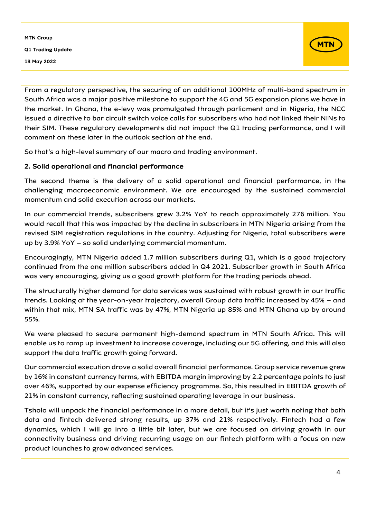

From a regulatory perspective, the securing of an additional 100MHz of multi-band spectrum in South Africa was a major positive milestone to support the 4G and 5G expansion plans we have in the market. In Ghana, the e-levy was promulgated through parliament and in Nigeria, the NCC issued a directive to bar circuit switch voice calls for subscribers who had not linked their NINs to their SIM. These regulatory developments did not impact the Q1 trading performance, and I will comment on these later in the outlook section at the end.

So that's a high-level summary of our macro and trading environment.

## 2. Solid operational and financial performance

The second theme is the delivery of a solid operational and financial performance, in the challenging macroeconomic environment. We are encouraged by the sustained commercial momentum and solid execution across our markets.

In our commercial trends, subscribers grew 3.2% YoY to reach approximately 276 million. You would recall that this was impacted by the decline in subscribers in MTN Nigeria arising from the revised SIM registration regulations in the country. Adjusting for Nigeria, total subscribers were up by 3.9% YoY – so solid underlying commercial momentum.

Encouragingly, MTN Nigeria added 1.7 million subscribers during Q1, which is a good trajectory continued from the one million subscribers added in Q4 2021. Subscriber growth in South Africa was very encouraging, giving us a good growth platform for the trading periods ahead.

The structurally higher demand for data services was sustained with robust growth in our traffic trends. Looking at the year-on-year trajectory, overall Group data traffic increased by 45% – and within that mix, MTN SA traffic was by 47%, MTN Nigeria up 85% and MTN Ghana up by around 55%.

We were pleased to secure permanent high-demand spectrum in MTN South Africa. This will enable us to ramp up investment to increase coverage, including our 5G offering, and this will also support the data traffic growth going forward.

Our commercial execution drove a solid overall financial performance. Group service revenue grew by 16% in constant currency terms, with EBITDA margin improving by 2.2 percentage points to just over 46%, supported by our expense efficiency programme. So, this resulted in EBITDA growth of 21% in constant currency, reflecting sustained operating leverage in our business.

Tsholo will unpack the financial performance in a more detail, but it's just worth noting that both data and fintech delivered strong results, up 37% and 21% respectively. Fintech had a few dynamics, which I will go into a little bit later, but we are focused on driving growth in our connectivity business and driving recurring usage on our fintech platform with a focus on new product launches to grow advanced services.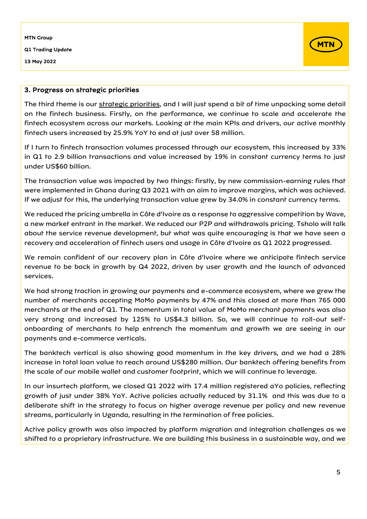Q1 Trading Update

13 May 2022



#### 3. Progress on strategic priorities

The third theme is our strategic priorities, and I will just spend a bit of time unpacking some detail on the fintech business. Firstly, on the performance, we continue to scale and accelerate the fintech ecosystem across our markets. Looking at the main KPIs and drivers, our active monthly fintech users increased by 25.9% YoY to end at just over 58 million.

If I turn to fintech transaction volumes processed through our ecosystem, this increased by 33% in Q1 to 2.9 billion transactions and value increased by 19% in constant currency terms to just under US\$60 billion.

The transaction value was impacted by two things: firstly, by new commission-earning rules that were implemented in Ghana during Q3 2021 with an aim to improve margins, which was achieved. If we adjust for this, the underlying transaction value grew by 34.0% in constant currency terms.

We reduced the pricing umbrella in Côte d'Ivoire as a response to aggressive competition by Wave, a new market entrant in the market. We reduced our P2P and withdrawals pricing. Tsholo will talk about the service revenue development, but what was quite encouraging is that we have seen a recovery and acceleration of fintech users and usage in Côte d'Ivoire as Q1 2022 progressed.

We remain confident of our recovery plan in Côte d'Ivoire where we anticipate fintech service revenue to be back in growth by Q4 2022, driven by user growth and the launch of advanced services.

We had strong traction in growing our payments and e-commerce ecosystem, where we grew the number of merchants accepting MoMo payments by 47% and this closed at more than 765 000 merchants at the end of Q1. The momentum in total value of MoMo merchant payments was also very strong and increased by 125% to US\$4.3 billion. So, we will continue to roll-out selfonboarding of merchants to help entrench the momentum and growth we are seeing in our payments and e-commerce verticals.

The banktech vertical is also showing good momentum in the key drivers, and we had a 28% increase in total loan value to reach around US\$280 million. Our banktech offering benefits from the scale of our mobile wallet and customer footprint, which we will continue to leverage.

In our insurtech platform, we closed Q1 2022 with 17.4 million registered aYo policies, reflecting growth of just under 38% YoY. Active policies actually reduced by 31.1% and this was due to a deliberate shift in the strategy to focus on higher average revenue per policy and new revenue streams, particularly in Uganda, resulting in the termination of free policies.

Active policy growth was also impacted by platform migration and integration challenges as we shifted to a proprietary infrastructure. We are building this business in a sustainable way, and we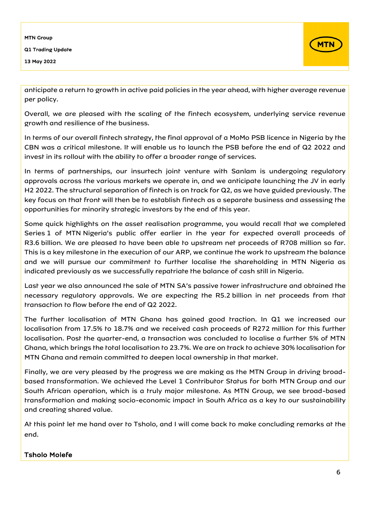

anticipate a return to growth in active paid policies in the year ahead, with higher average revenue per policy.

Overall, we are pleased with the scaling of the fintech ecosystem, underlying service revenue growth and resilience of the business.

In terms of our overall fintech strategy, the final approval of a MoMo PSB licence in Nigeria by the CBN was a critical milestone. It will enable us to launch the PSB before the end of Q2 2022 and invest in its rollout with the ability to offer a broader range of services.

In terms of partnerships, our insurtech joint venture with Sanlam is undergoing regulatory approvals across the various markets we operate in, and we anticipate launching the JV in early H2 2022. The structural separation of fintech is on track for Q2, as we have guided previously. The key focus on that front will then be to establish fintech as a separate business and assessing the opportunities for minority strategic investors by the end of this year.

Some quick highlights on the asset realisation programme, you would recall that we completed Series 1 of MTN Nigeria's public offer earlier in the year for expected overall proceeds of R3.6 billion. We are pleased to have been able to upstream net proceeds of R708 million so far. This is a key milestone in the execution of our ARP, we continue the work to upstream the balance and we will pursue our commitment to further localise the shareholding in MTN Nigeria as indicated previously as we successfully repatriate the balance of cash still in Nigeria.

Last year we also announced the sale of MTN SA's passive tower infrastructure and obtained the necessary regulatory approvals. We are expecting the R5.2 billion in net proceeds from that transaction to flow before the end of Q2 2022.

The further localisation of MTN Ghana has gained good traction. In Q1 we increased our localisation from 17.5% to 18.7% and we received cash proceeds of R272 million for this further localisation. Post the quarter-end, a transaction was concluded to localise a further 5% of MTN Ghana, which brings the total localisation to 23.7%. We are on track to achieve 30% localisation for MTN Ghana and remain committed to deepen local ownership in that market.

Finally, we are very pleased by the progress we are making as the MTN Group in driving broadbased transformation. We achieved the Level 1 Contributor Status for both MTN Group and our South African operation, which is a truly major milestone. As MTN Group, we see broad-based transformation and making socio-economic impact in South Africa as a key to our sustainability and creating shared value.

At this point let me hand over to Tsholo, and I will come back to make concluding remarks at the end.

## Tsholo Molefe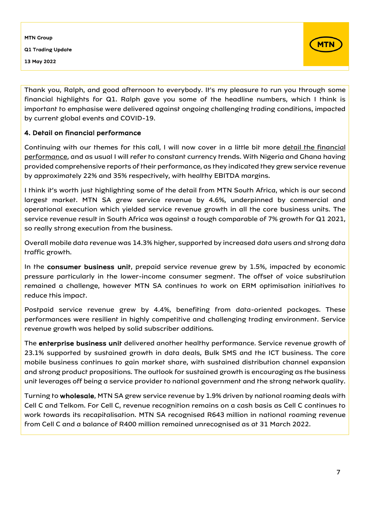

Thank you, Ralph, and good afternoon to everybody. It's my pleasure to run you through some financial highlights for Q1. Ralph gave you some of the headline numbers, which I think is important to emphasise were delivered against ongoing challenging trading conditions, impacted by current global events and COVID-19.

## 4. Detail on financial performance

Continuing with our themes for this call, I will now cover in a little bit more detail the financial performance, and as usual I will refer to constant currency trends. With Nigeria and Ghana having provided comprehensive reports of their performance, as they indicated they grew service revenue by approximately 22% and 35% respectively, with healthy EBITDA margins.

I think it's worth just highlighting some of the detail from MTN South Africa, which is our second largest market. MTN SA grew service revenue by 4.6%, underpinned by commercial and operational execution which yielded service revenue growth in all the core business units. The service revenue result in South Africa was against a tough comparable of 7% growth for Q1 2021, so really strong execution from the business.

Overall mobile data revenue was 14.3% higher, supported by increased data users and strong data traffic growth.

In the consumer business unit, prepaid service revenue grew by 1.5%, impacted by economic pressure particularly in the lower-income consumer segment. The offset of voice substitution remained a challenge, however MTN SA continues to work on ERM optimisation initiatives to reduce this impact.

Postpaid service revenue grew by 4.4%, benefiting from data-oriented packages. These performances were resilient in highly competitive and challenging trading environment. Service revenue growth was helped by solid subscriber additions.

The enterprise business unit delivered another healthy performance. Service revenue growth of 23.1% supported by sustained growth in data deals, Bulk SMS and the ICT business. The core mobile business continues to gain market share, with sustained distribution channel expansion and strong product propositions. The outlook for sustained growth is encouraging as the business unit leverages off being a service provider to national government and the strong network quality.

Turning to wholesale, MTN SA grew service revenue by 1.9% driven by national roaming deals with Cell C and Telkom. For Cell C, revenue recognition remains on a cash basis as Cell C continues to work towards its recapitalisation. MTN SA recognised R643 million in national roaming revenue from Cell C and a balance of R400 million remained unrecognised as at 31 March 2022.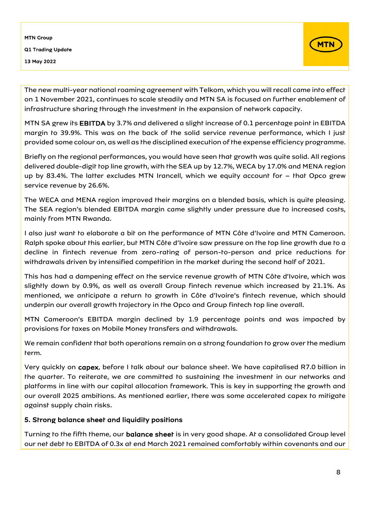

The new multi-year national roaming agreement with Telkom, which you will recall came into effect on 1 November 2021, continues to scale steadily and MTN SA is focused on further enablement of infrastructure sharing through the investment in the expansion of network capacity.

MTN SA grew its EBITDA by 3.7% and delivered a slight increase of 0.1 percentage point in EBITDA margin to 39.9%. This was on the back of the solid service revenue performance, which I just provided some colour on, as well as the disciplined execution of the expense efficiency programme.

Briefly on the regional performances, you would have seen that growth was quite solid. All regions delivered double-digit top line growth, with the SEA up by 12.7%, WECA by 17.0% and MENA region up by 83.4%. The latter excludes MTN Irancell, which we equity account for – that Opco grew service revenue by 26.6%.

The WECA and MENA region improved their margins on a blended basis, which is quite pleasing. The SEA region's blended EBITDA margin came slightly under pressure due to increased costs, mainly from MTN Rwanda.

I also just want to elaborate a bit on the performance of MTN Côte d'Ivoire and MTN Cameroon. Ralph spoke about this earlier, but MTN Côte d'Ivoire saw pressure on the top line growth due to a decline in fintech revenue from zero-rating of person-to-person and price reductions for withdrawals driven by intensified competition in the market during the second half of 2021.

This has had a dampening effect on the service revenue growth of MTN Côte d'Ivoire, which was slightly down by 0.9%, as well as overall Group fintech revenue which increased by 21.1%. As mentioned, we anticipate a return to growth in Côte d'Ivoire's fintech revenue, which should underpin our overall growth trajectory in the Opco and Group fintech top line overall.

MTN Cameroon's EBITDA margin declined by 1.9 percentage points and was impacted by provisions for taxes on Mobile Money transfers and withdrawals.

We remain confident that both operations remain on a strong foundation to grow over the medium term.

Very quickly on capex, before I talk about our balance sheet. We have capitalised R7.0 billion in the quarter. To reiterate, we are committed to sustaining the investment in our networks and platforms in line with our capital allocation framework. This is key in supporting the growth and our overall 2025 ambitions. As mentioned earlier, there was some accelerated capex to mitigate against supply chain risks.

## 5. Strong balance sheet and liquidity positions

Turning to the fifth theme, our balance sheet is in very good shape. At a consolidated Group level our net debt to EBITDA of 0.3x at end March 2021 remained comfortably within covenants and our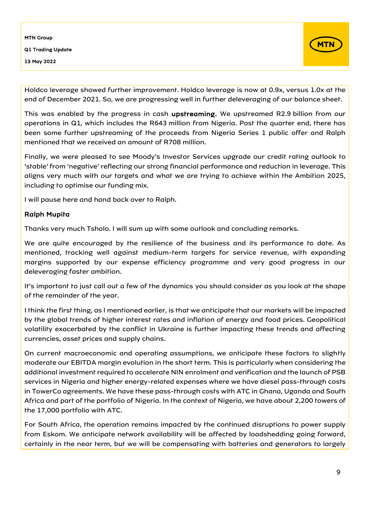

Holdco leverage showed further improvement. Holdco leverage is now at 0.9x, versus 1.0x at the end of December 2021. So, we are progressing well in further deleveraging of our balance sheet.

This was enabled by the progress in cash upstreaming. We upstreamed R2.9 billion from our operations in Q1, which includes the R643 million from Nigeria. Post the quarter end, there has been some further upstreaming of the proceeds from Nigeria Series 1 public offer and Ralph mentioned that we received an amount of R708 million.

Finally, we were pleased to see Moody's Investor Services upgrade our credit rating outlook to 'stable' from 'negative' reflecting our strong financial performance and reduction in leverage. This aligns very much with our targets and what we are trying to achieve within the Ambition 2025, including to optimise our funding mix.

I will pause here and hand back over to Ralph.

## Ralph Mupita

Thanks very much Tsholo. I will sum up with some outlook and concluding remarks.

We are quite encouraged by the resilience of the business and its performance to date. As mentioned, tracking well against medium-term targets for service revenue, with expanding margins supported by our expense efficiency programme and very good progress in our deleveraging faster ambition.

It's important to just call out a few of the dynamics you should consider as you look at the shape of the remainder of the year.

I think the first thing, as I mentioned earlier, is that we anticipate that our markets will be impacted by the global trends of higher interest rates and inflation of energy and food prices. Geopolitical volatility exacerbated by the conflict in Ukraine is further impacting these trends and affecting currencies, asset prices and supply chains.

On current macroeconomic and operating assumptions, we anticipate these factors to slightly moderate our EBITDA margin evolution in the short term. This is particularly when considering the additional investment required to accelerate NIN enrolment and verification and the launch of PSB services in Nigeria and higher energy-related expenses where we have diesel pass-through costs in TowerCo agreements. We have these pass-through costs with ATC in Ghana, Uganda and South Africa and part of the portfolio of Nigeria. In the context of Nigeria, we have about 2,200 towers of the 17,000 portfolio with ATC.

For South Africa, the operation remains impacted by the continued disruptions to power supply from Eskom. We anticipate network availability will be affected by loadshedding going forward, certainly in the near term, but we will be compensating with batteries and generators to largely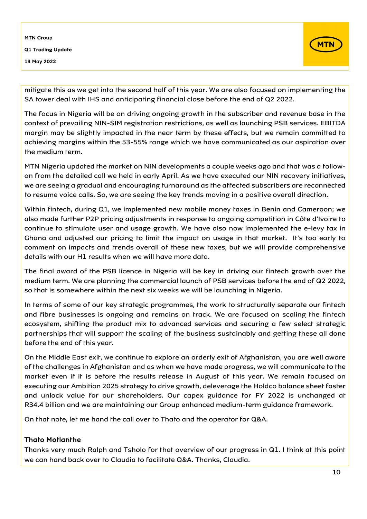

mitigate this as we get into the second half of this year. We are also focused on implementing the SA tower deal with IHS and anticipating financial close before the end of Q2 2022.

The focus in Nigeria will be on driving ongoing growth in the subscriber and revenue base in the context of prevailing NIN-SIM registration restrictions, as well as launching PSB services. EBITDA margin may be slightly impacted in the near term by these effects, but we remain committed to achieving margins within the 53-55% range which we have communicated as our aspiration over the medium term.

MTN Nigeria updated the market on NIN developments a couple weeks ago and that was a followon from the detailed call we held in early April. As we have executed our NIN recovery initiatives, we are seeing a gradual and encouraging turnaround as the affected subscribers are reconnected to resume voice calls. So, we are seeing the key trends moving in a positive overall direction.

Within fintech, during Q1, we implemented new mobile money taxes in Benin and Cameroon; we also made further P2P pricing adjustments in response to ongoing competition in Côte d'Ivoire to continue to stimulate user and usage growth. We have also now implemented the e-levy tax in Ghana and adjusted our pricing to limit the impact on usage in that market. It's too early to comment on impacts and trends overall of these new taxes, but we will provide comprehensive details with our H1 results when we will have more data.

The final award of the PSB licence in Nigeria will be key in driving our fintech growth over the medium term. We are planning the commercial launch of PSB services before the end of Q2 2022, so that is somewhere within the next six weeks we will be launching in Nigeria.

In terms of some of our key strategic programmes, the work to structurally separate our fintech and fibre businesses is ongoing and remains on track. We are focused on scaling the fintech ecosystem, shifting the product mix to advanced services and securing a few select strategic partnerships that will support the scaling of the business sustainably and getting these all done before the end of this year.

On the Middle East exit, we continue to explore an orderly exit of Afghanistan, you are well aware of the challenges in Afghanistan and as when we have made progress, we will communicate to the market even if it is before the results release in August of this year. We remain focused on executing our Ambition 2025 strategy to drive growth, deleverage the Holdco balance sheet faster and unlock value for our shareholders. Our capex guidance for FY 2022 is unchanged at R34.4 billion and we are maintaining our Group enhanced medium-term guidance framework.

On that note, let me hand the call over to Thato and the operator for Q&A.

## Thato Motlanthe

Thanks very much Ralph and Tsholo for that overview of our progress in Q1. I think at this point we can hand back over to Claudia to facilitate Q&A. Thanks, Claudia.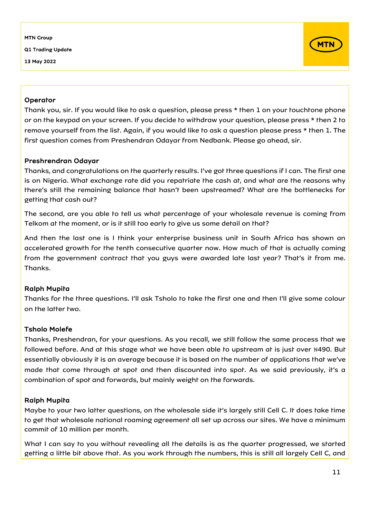Q1 Trading Update

13 May 2022



#### **Operator**

Thank you, sir. If you would like to ask a question, please press \* then 1 on your touchtone phone or on the keypad on your screen. If you decide to withdraw your question, please press \* then 2 to remove yourself from the list. Again, if you would like to ask a question please press \* then 1. The first question comes from Preshendran Odayar from Nedbank. Please go ahead, sir.

## Preshrendran Odayar

Thanks, and congratulations on the quarterly results. I've got three questions if I can. The first one is on Nigeria. What exchange rate did you repatriate the cash at, and what are the reasons why there's still the remaining balance that hasn't been upstreamed? What are the bottlenecks for getting that cash out?

The second, are you able to tell us what percentage of your wholesale revenue is coming from Telkom at the moment, or is it still too early to give us some detail on that?

And then the last one is I think your enterprise business unit in South Africa has shown an accelerated growth for the tenth consecutive quarter now. How much of that is actually coming from the government contract that you guys were awarded late last year? That's it from me. Thanks.

## Ralph Mupita

Thanks for the three questions. I'll ask Tsholo to take the first one and then I'll give some colour on the latter two.

## Tsholo Molefe

Thanks, Preshendran, for your questions. As you recall, we still follow the same process that we followed before. And at this stage what we have been able to upstream at is just over #490. But essentially obviously it is an average because it is based on the number of applications that we've made that come through at spot and then discounted into spot. As we said previously, it's a combination of spot and forwards, but mainly weight on the forwards.

## Ralph Mupita

Maybe to your two latter questions, on the wholesale side it's largely still Cell C. It does take time to get that wholesale national roaming agreement all set up across our sites. We have a minimum commit of 10 million per month.

What I can say to you without revealing all the details is as the quarter progressed, we started getting a little bit above that. As you work through the numbers, this is still all largely Cell C, and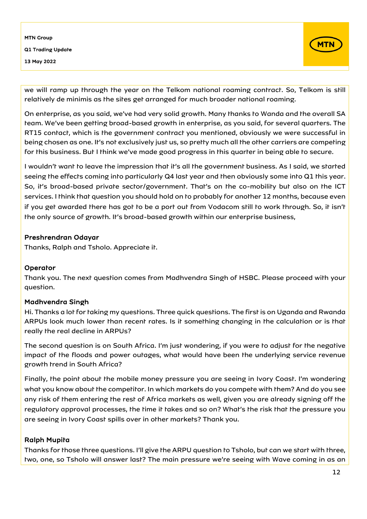

we will ramp up through the year on the Telkom national roaming contract. So, Telkom is still relatively de minimis as the sites get arranged for much broader national roaming.

On enterprise, as you said, we've had very solid growth. Many thanks to Wanda and the overall SA team. We've been getting broad-based growth in enterprise, as you said, for several quarters. The RT15 contact, which is the government contract you mentioned, obviously we were successful in being chosen as one. It's not exclusively just us, so pretty much all the other carriers are competing for this business. But I think we've made good progress in this quarter in being able to secure.

I wouldn't want to leave the impression that it's all the government business. As I said, we started seeing the effects coming into particularly Q4 last year and then obviously some into Q1 this year. So, it's broad-based private sector/government. That's on the co-mobility but also on the ICT services. I think that question you should hold on to probably for another 12 months, because even if you get awarded there has got to be a port out from Vodacom still to work through. So, it isn't the only source of growth. It's broad-based growth within our enterprise business,

#### Preshrendran Odayar

Thanks, Ralph and Tsholo. Appreciate it.

## **Operator**

Thank you. The next question comes from Madhvendra Singh of HSBC. Please proceed with your question.

## Madhvendra Singh

Hi. Thanks a lot for taking my questions. Three quick questions. The first is on Uganda and Rwanda ARPUs look much lower than recent rates. Is it something changing in the calculation or is that really the real decline in ARPUs?

The second question is on South Africa. I'm just wondering, if you were to adjust for the negative impact of the floods and power outages, what would have been the underlying service revenue growth trend in South Africa?

Finally, the point about the mobile money pressure you are seeing in Ivory Coast. I'm wondering what you know about the competitor. In which markets do you compete with them? And do you see any risk of them entering the rest of Africa markets as well, given you are already signing off the regulatory approval processes, the time it takes and so on? What's the risk that the pressure you are seeing in Ivory Coast spills over in other markets? Thank you.

## Ralph Mupita

Thanks for those three questions. I'll give the ARPU question to Tsholo, but can we start with three, two, one, so Tsholo will answer last? The main pressure we're seeing with Wave coming in as an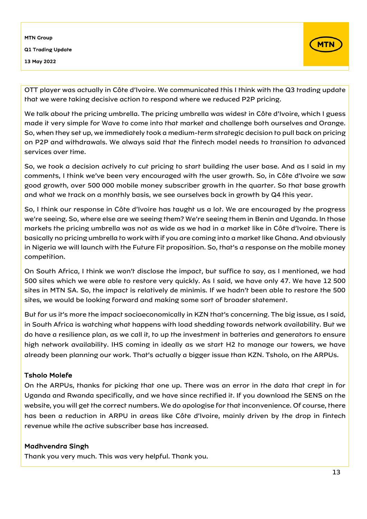

OTT player was actually in Côte d'Ivoire. We communicated this I think with the Q3 trading update that we were taking decisive action to respond where we reduced P2P pricing.

We talk about the pricing umbrella. The pricing umbrella was widest in Côte d'Ivoire, which I guess made it very simple for Wave to come into that market and challenge both ourselves and Orange. So, when they set up, we immediately took a medium-term strategic decision to pull back on pricing on P2P and withdrawals. We always said that the fintech model needs to transition to advanced services over time.

So, we took a decision actively to cut pricing to start building the user base. And as I said in my comments, I think we've been very encouraged with the user growth. So, in Côte d'Ivoire we saw good growth, over 500 000 mobile money subscriber growth in the quarter. So that base growth and what we track on a monthly basis, we see ourselves back in growth by Q4 this year.

So, I think our response in Côte d'Ivoire has taught us a lot. We are encouraged by the progress we're seeing. So, where else are we seeing them? We're seeing them in Benin and Uganda. In those markets the pricing umbrella was not as wide as we had in a market like in Côte d'Ivoire. There is basically no pricing umbrella to work with if you are coming into a market like Ghana. And obviously in Nigeria we will launch with the Future Fit proposition. So, that's a response on the mobile money competition.

On South Africa, I think we won't disclose the impact, but suffice to say, as I mentioned, we had 500 sites which we were able to restore very quickly. As I said, we have only 47. We have 12 500 sites in MTN SA. So, the impact is relatively de minimis. If we hadn't been able to restore the 500 sites, we would be looking forward and making some sort of broader statement.

But for us it's more the impact socioeconomically in KZN that's concerning. The big issue, as I said, in South Africa is watching what happens with load shedding towards network availability. But we do have a resilience plan, as we call it, to up the investment in batteries and generators to ensure high network availability. IHS coming in ideally as we start H2 to manage our towers, we have already been planning our work. That's actually a bigger issue than KZN. Tsholo, on the ARPUs.

## Tsholo Molefe

On the ARPUs, thanks for picking that one up. There was an error in the data that crept in for Uganda and Rwanda specifically, and we have since rectified it. If you download the SENS on the website, you will get the correct numbers. We do apologise for that inconvenience. Of course, there has been a reduction in ARPU in areas like Côte d'Ivoire, mainly driven by the drop in fintech revenue while the active subscriber base has increased.

#### Madhvendra Singh

Thank you very much. This was very helpful. Thank you.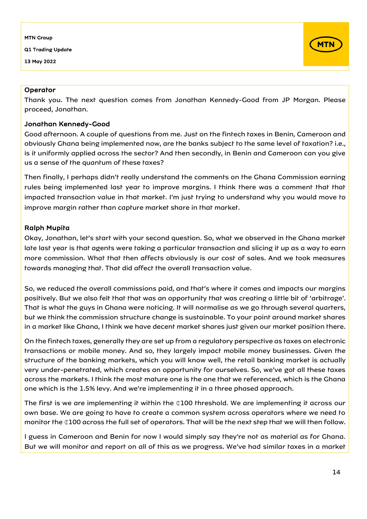Q1 Trading Update

13 May 2022



#### **Operator**

Thank you. The next question comes from Jonathan Kennedy-Good from JP Morgan. Please proceed, Jonathan.

#### Jonathan Kennedy-Good

Good afternoon. A couple of questions from me. Just on the fintech taxes in Benin, Cameroon and obviously Ghana being implemented now, are the banks subject to the same level of taxation? i.e., is it uniformly applied across the sector? And then secondly, in Benin and Cameroon can you give us a sense of the quantum of these taxes?

Then finally, I perhaps didn't really understand the comments on the Ghana Commission earning rules being implemented last year to improve margins. I think there was a comment that that impacted transaction value in that market. I'm just trying to understand why you would move to improve margin rather than capture market share in that market.

#### Ralph Mupita

Okay, Jonathan, let's start with your second question. So, what we observed in the Ghana market late last year is that agents were taking a particular transaction and slicing it up as a way to earn more commission. What that then affects obviously is our cost of sales. And we took measures towards managing that. That did affect the overall transaction value.

So, we reduced the overall commissions paid, and that's where it comes and impacts our margins positively. But we also felt that that was an opportunity that was creating a little bit of 'arbitrage'. That is what the guys in Ghana were noticing. It will normalise as we go through several quarters, but we think the commission structure change is sustainable. To your point around market shares in a market like Ghana, I think we have decent market shares just given our market position there.

On the fintech taxes, generally they are set up from a regulatory perspective as taxes on electronic transactions or mobile money. And so, they largely impact mobile money businesses. Given the structure of the banking markets, which you will know well, the retail banking market is actually very under-penetrated, which creates an opportunity for ourselves. So, we've got all these taxes across the markets. I think the most mature one is the one that we referenced, which is the Ghana one which is the 1.5% levy. And we're implementing it in a three phased approach.

The first is we are implementing it within the  $ℚ100$  threshold. We are implementing it across our own base. We are going to have to create a common system across operators where we need to monitor the  $Q100$  across the full set of operators. That will be the next step that we will then follow.

I guess in Cameroon and Benin for now I would simply say they're not as material as for Ghana. But we will monitor and report on all of this as we progress. We've had similar taxes in a market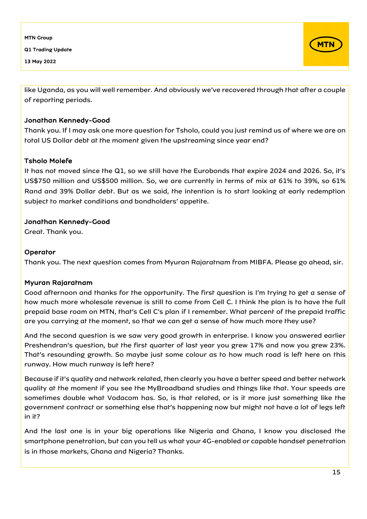Q1 Trading Update

13 May 2022



like Uganda, as you will well remember. And obviously we've recovered through that after a couple of reporting periods.

## Jonathan Kennedy-Good

Thank you. If I may ask one more question for Tsholo, could you just remind us of where we are on total US Dollar debt at the moment given the upstreaming since year end?

## Tsholo Molefe

It has not moved since the Q1, so we still have the Eurobonds that expire 2024 and 2026. So, it's US\$750 million and US\$500 million. So, we are currently in terms of mix at 61% to 39%, so 61% Rand and 39% Dollar debt. But as we said, the intention is to start looking at early redemption subject to market conditions and bondholders' appetite.

## Jonathan Kennedy-Good

Great. Thank you.

## **Operator**

Thank you. The next question comes from Myuran Rajaratnam from MIBFA. Please go ahead, sir.

## Myuran Rajaratnam

Good afternoon and thanks for the opportunity. The first question is I'm trying to get a sense of how much more wholesale revenue is still to come from Cell C. I think the plan is to have the full prepaid base roam on MTN, that's Cell C's plan if I remember. What percent of the prepaid traffic are you carrying at the moment, so that we can get a sense of how much more they use?

And the second question is we saw very good growth in enterprise. I know you answered earlier Preshendran's question, but the first quarter of last year you grew 17% and now you grew 23%. That's resounding growth. So maybe just some colour as to how much road is left here on this runway. How much runway is left here?

Because if it's quality and network related, then clearly you have a better speed and better network quality at the moment if you see the MyBroadband studies and things like that. Your speeds are sometimes double what Vodacom has. So, is that related, or is it more just something like the government contract or something else that's happening now but might not have a lot of legs left in it?

And the last one is in your big operations like Nigeria and Ghana, I know you disclosed the smartphone penetration, but can you tell us what your 4G-enabled or capable handset penetration is in those markets, Ghana and Nigeria? Thanks.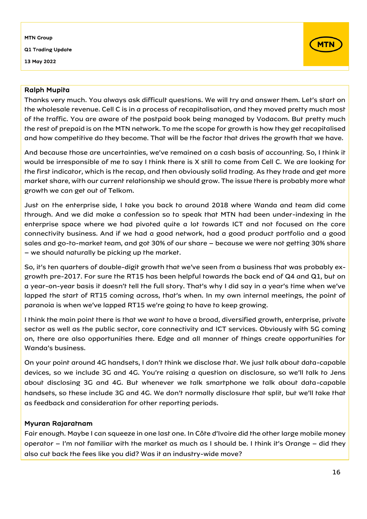## MTN Group Q1 Trading Update

13 May 2022



## Ralph Mupita

Thanks very much. You always ask difficult questions. We will try and answer them. Let's start on the wholesale revenue. Cell C is in a process of recapitalisation, and they moved pretty much most of the traffic. You are aware of the postpaid book being managed by Vodacom. But pretty much the rest of prepaid is on the MTN network. To me the scope for growth is how they get recapitalised and how competitive do they become. That will be the factor that drives the growth that we have.

And because those are uncertainties, we've remained on a cash basis of accounting. So, I think it would be irresponsible of me to say I think there is X still to come from Cell C. We are looking for the first indicator, which is the recap, and then obviously solid trading. As they trade and get more market share, with our current relationship we should grow. The issue there is probably more what growth we can get out of Telkom.

Just on the enterprise side, I take you back to around 2018 where Wanda and team did come through. And we did make a confession so to speak that MTN had been under-indexing in the enterprise space where we had pivoted quite a lot towards ICT and not focused on the core connectivity business. And if we had a good network, had a good product portfolio and a good sales and go-to-market team, and got 30% of our share – because we were not getting 30% share – we should naturally be picking up the market.

So, it's ten quarters of double-digit growth that we've seen from a business that was probably exgrowth pre-2017. For sure the RT15 has been helpful towards the back end of Q4 and Q1, but on a year-on-year basis it doesn't tell the full story. That's why I did say in a year's time when we've lapped the start of RT15 coming across, that's when. In my own internal meetings, the point of paranoia is when we've lapped RT15 we're going to have to keep growing.

I think the main point there is that we want to have a broad, diversified growth, enterprise, private sector as well as the public sector, core connectivity and ICT services. Obviously with 5G coming on, there are also opportunities there. Edge and all manner of things create opportunities for Wanda's business.

On your point around 4G handsets, I don't think we disclose that. We just talk about data-capable devices, so we include 3G and 4G. You're raising a question on disclosure, so we'll talk to Jens about disclosing 3G and 4G. But whenever we talk smartphone we talk about data-capable handsets, so these include 3G and 4G. We don't normally disclosure that split, but we'll take that as feedback and consideration for other reporting periods.

## Myuran Rajaratnam

Fair enough. Maybe I can squeeze in one last one. In Côte d'Ivoire did the other large mobile money operator – I'm not familiar with the market as much as I should be. I think it's Orange – did they also cut back the fees like you did? Was it an industry-wide move?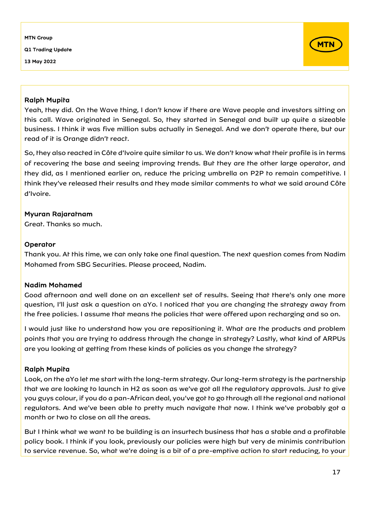Q1 Trading Update

13 May 2022



#### Ralph Mupita

Yeah, they did. On the Wave thing, I don't know if there are Wave people and investors sitting on this call. Wave originated in Senegal. So, they started in Senegal and built up quite a sizeable business. I think it was five million subs actually in Senegal. And we don't operate there, but our read of it is Orange didn't react.

So, they also reacted in Côte d'Ivoire quite similar to us. We don't know what their profile is in terms of recovering the base and seeing improving trends. But they are the other large operator, and they did, as I mentioned earlier on, reduce the pricing umbrella on P2P to remain competitive. I think they've released their results and they made similar comments to what we said around Côte d'Ivoire.

#### Myuran Rajaratnam

Great. Thanks so much.

#### **Operator**

Thank you. At this time, we can only take one final question. The next question comes from Nadim Mohamed from SBG Securities. Please proceed, Nadim.

## Nadim Mohamed

Good afternoon and well done on an excellent set of results. Seeing that there's only one more question, I'll just ask a question on aYo. I noticed that you are changing the strategy away from the free policies. I assume that means the policies that were offered upon recharging and so on.

I would just like to understand how you are repositioning it. What are the products and problem points that you are trying to address through the change in strategy? Lastly, what kind of ARPUs are you looking at getting from these kinds of policies as you change the strategy?

## Ralph Mupita

Look, on the aYo let me start with the long-term strategy. Our long-term strategy is the partnership that we are looking to launch in H2 as soon as we've got all the regulatory approvals. Just to give you guys colour, if you do a pan-African deal, you've got to go through all the regional and national regulators. And we've been able to pretty much navigate that now. I think we've probably got a month or two to close on all the areas.

But I think what we want to be building is an insurtech business that has a stable and a profitable policy book. I think if you look, previously our policies were high but very de minimis contribution to service revenue. So, what we're doing is a bit of a pre-emptive action to start reducing, to your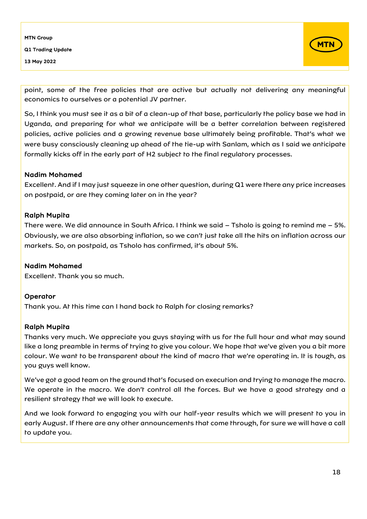

point, some of the free policies that are active but actually not delivering any meaningful economics to ourselves or a potential JV partner.

So, I think you must see it as a bit of a clean-up of that base, particularly the policy base we had in Uganda, and preparing for what we anticipate will be a better correlation between registered policies, active policies and a growing revenue base ultimately being profitable. That's what we were busy consciously cleaning up ahead of the tie-up with Sanlam, which as I said we anticipate formally kicks off in the early part of H2 subject to the final regulatory processes.

## Nadim Mohamed

Excellent. And if I may just squeeze in one other question, during Q1 were there any price increases on postpaid, or are they coming later on in the year?

#### Ralph Mupita

There were. We did announce in South Africa. I think we said – Tsholo is going to remind me – 5%. Obviously, we are also absorbing inflation, so we can't just take all the hits on inflation across our markets. So, on postpaid, as Tsholo has confirmed, it's about 5%.

## Nadim Mohamed

Excellent. Thank you so much.

## **Operator**

Thank you. At this time can I hand back to Ralph for closing remarks?

## Ralph Mupita

Thanks very much. We appreciate you guys staying with us for the full hour and what may sound like a long preamble in terms of trying to give you colour. We hope that we've given you a bit more colour. We want to be transparent about the kind of macro that we're operating in. It is tough, as you guys well know.

We've got a good team on the ground that's focused on execution and trying to manage the macro. We operate in the macro. We don't control all the forces. But we have a good strategy and a resilient strategy that we will look to execute.

And we look forward to engaging you with our half-year results which we will present to you in early August. If there are any other announcements that come through, for sure we will have a call to update you.